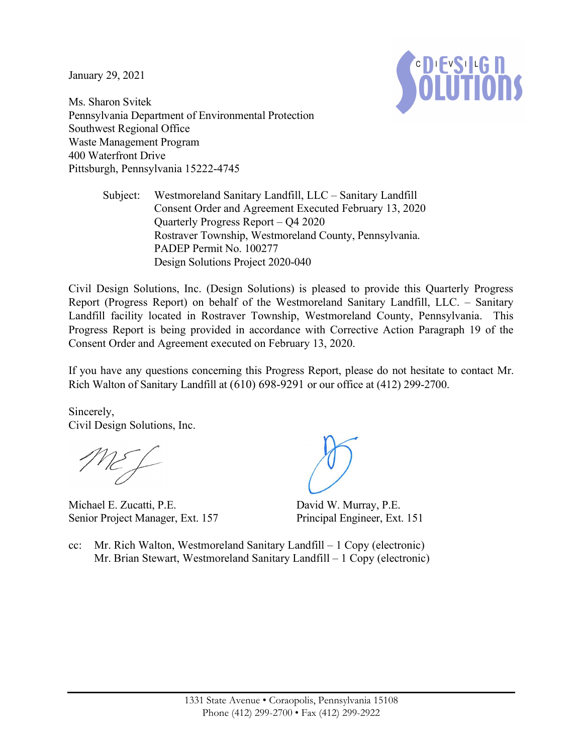January 29, 2021



Ms. Sharon Svitek Pennsylvania Department of Environmental Protection Southwest Regional Office Waste Management Program 400 Waterfront Drive Pittsburgh, Pennsylvania 15222-4745

> Subject: Westmoreland Sanitary Landfill, LLC – Sanitary Landfill Consent Order and Agreement Executed February 13, 2020 Quarterly Progress Report – Q4 2020 Rostraver Township, Westmoreland County, Pennsylvania. PADEP Permit No. 100277 Design Solutions Project 2020-040

Civil Design Solutions, Inc. (Design Solutions) is pleased to provide this Quarterly Progress Report (Progress Report) on behalf of the Westmoreland Sanitary Landfill, LLC. – Sanitary Landfill facility located in Rostraver Township, Westmoreland County, Pennsylvania. This Progress Report is being provided in accordance with Corrective Action Paragraph 19 of the Consent Order and Agreement executed on February 13, 2020.

If you have any questions concerning this Progress Report, please do not hesitate to contact Mr. Rich Walton of Sanitary Landfill at (610) 698-9291 or our office at (412) 299-2700.

Sincerely, Civil Design Solutions, Inc.

Michael E. Zucatti, P.E. Senior Project Manager, Ext. 157

David W. Murray, P.E. Principal Engineer, Ext. 151

cc: Mr. Rich Walton, Westmoreland Sanitary Landfill – 1 Copy (electronic) Mr. Brian Stewart, Westmoreland Sanitary Landfill – 1 Copy (electronic)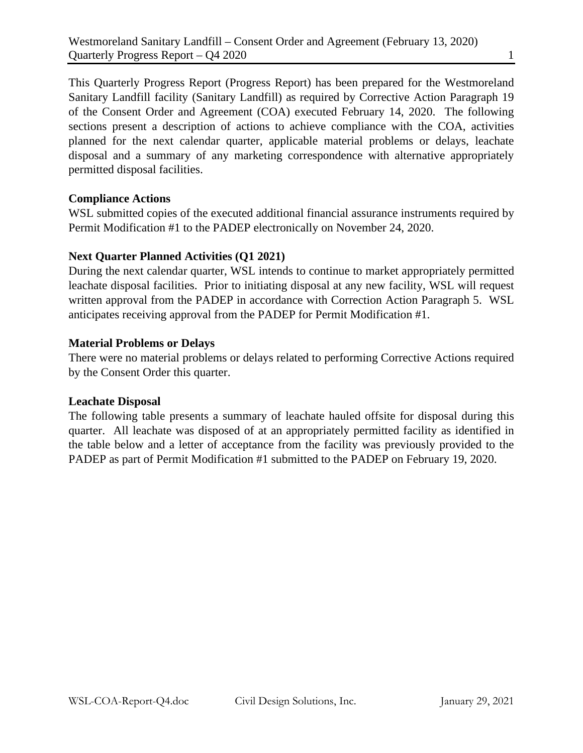This Quarterly Progress Report (Progress Report) has been prepared for the Westmoreland Sanitary Landfill facility (Sanitary Landfill) as required by Corrective Action Paragraph 19 of the Consent Order and Agreement (COA) executed February 14, 2020. The following sections present a description of actions to achieve compliance with the COA, activities planned for the next calendar quarter, applicable material problems or delays, leachate disposal and a summary of any marketing correspondence with alternative appropriately permitted disposal facilities.

# **Compliance Actions**

WSL submitted copies of the executed additional financial assurance instruments required by Permit Modification #1 to the PADEP electronically on November 24, 2020.

# **Next Quarter Planned Activities (Q1 2021)**

During the next calendar quarter, WSL intends to continue to market appropriately permitted leachate disposal facilities. Prior to initiating disposal at any new facility, WSL will request written approval from the PADEP in accordance with Correction Action Paragraph 5. WSL anticipates receiving approval from the PADEP for Permit Modification #1.

# **Material Problems or Delays**

There were no material problems or delays related to performing Corrective Actions required by the Consent Order this quarter.

### **Leachate Disposal**

The following table presents a summary of leachate hauled offsite for disposal during this quarter. All leachate was disposed of at an appropriately permitted facility as identified in the table below and a letter of acceptance from the facility was previously provided to the PADEP as part of Permit Modification #1 submitted to the PADEP on February 19, 2020.